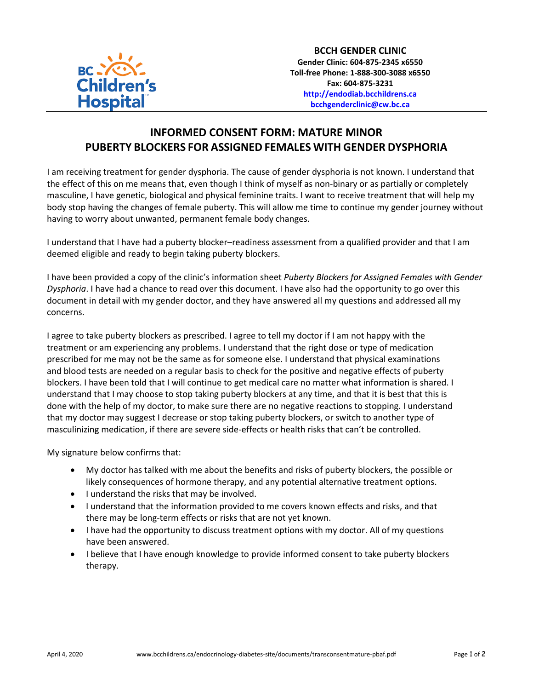

## **INFORMED CONSENT FORM: MATURE MINOR PUBERTY BLOCKERS FOR ASSIGNED FEMALES WITH GENDER DYSPHORIA**

I am receiving treatment for gender dysphoria. The cause of gender dysphoria is not known. I understand that the effect of this on me means that, even though I think of myself as non-binary or as partially or completely masculine, I have genetic, biological and physical feminine traits. I want to receive treatment that will help my body stop having the changes of female puberty. This will allow me time to continue my gender journey without having to worry about unwanted, permanent female body changes.

I understand that I have had a puberty blocker–readiness assessment from a qualified provider and that I am deemed eligible and ready to begin taking puberty blockers.

I have been provided a copy of the clinic's information sheet *Puberty Blockers for Assigned Females with Gender Dysphoria*. I have had a chance to read over this document. I have also had the opportunity to go over this document in detail with my gender doctor, and they have answered all my questions and addressed all my concerns.

I agree to take puberty blockers as prescribed. I agree to tell my doctor if I am not happy with the treatment or am experiencing any problems. I understand that the right dose or type of medication prescribed for me may not be the same as for someone else. I understand that physical examinations and blood tests are needed on a regular basis to check for the positive and negative effects of puberty blockers. I have been told that I will continue to get medical care no matter what information is shared. I understand that I may choose to stop taking puberty blockers at any time, and that it is best that this is done with the help of my doctor, to make sure there are no negative reactions to stopping. I understand that my doctor may suggest I decrease or stop taking puberty blockers, or switch to another type of masculinizing medication, if there are severe side-effects or health risks that can't be controlled.

My signature below confirms that:

- My doctor has talked with me about the benefits and risks of puberty blockers, the possible or likely consequences of hormone therapy, and any potential alternative treatment options.
- I understand the risks that may be involved.
- I understand that the information provided to me covers known effects and risks, and that there may be long-term effects or risks that are not yet known.
- I have had the opportunity to discuss treatment options with my doctor. All of my questions have been answered.
- I believe that I have enough knowledge to provide informed consent to take puberty blockers therapy.